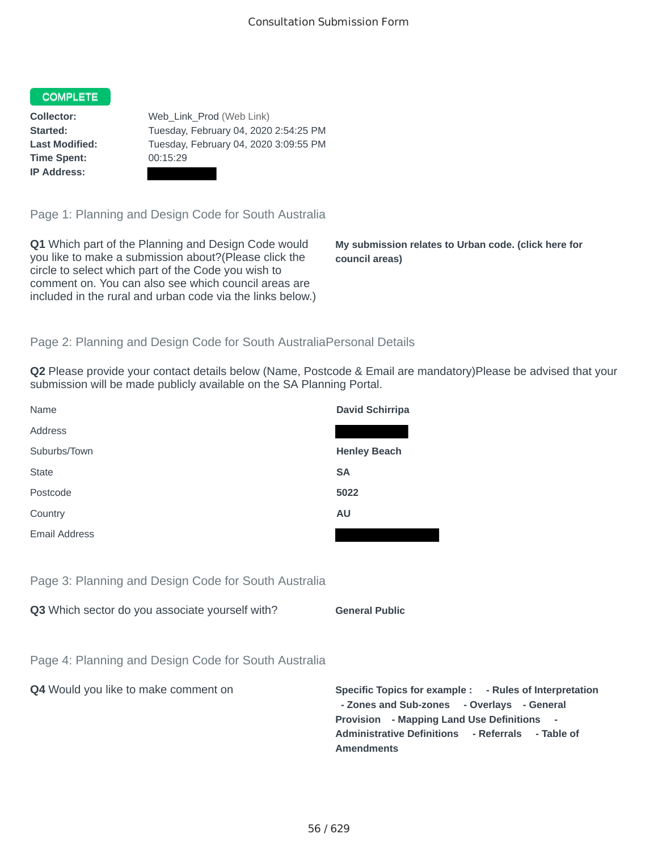#### **COMPLETE**

**Time Spent:** 00:15:29 **IP Address:**

**Collector:** Web Link Prod (Web Link) **Started:** Tuesday, February 04, 2020 2:54:25 PM **Last Modified:** Tuesday, February 04, 2020 3:09:55 PM

Page 1: Planning and Design Code for South Australia

**Q1** Which part of the Planning and Design Code would you like to make a submission about?(Please click the circle to select which part of the Code you wish to comment on. You can also see which council areas are included in the rural and urban code via the links below.)

**My submission relates to Urban code. (click here for council areas)**

#### Page 2: Planning and Design Code for South AustraliaPersonal Details

**Q2** Please provide your contact details below (Name, Postcode & Email are mandatory)Please be advised that your submission will be made publicly available on the SA Planning Portal.

| Name                 | <b>David Schirripa</b> |
|----------------------|------------------------|
| Address              |                        |
| Suburbs/Town         | <b>Henley Beach</b>    |
| <b>State</b>         | <b>SA</b>              |
| Postcode             | 5022                   |
| Country              | <b>AU</b>              |
| <b>Email Address</b> |                        |

Page 3: Planning and Design Code for South Australia

**Q3** Which sector do you associate yourself with? **General Public** 

Page 4: Planning and Design Code for South Australia

**Q4** Would you like to make comment on **Specific Topics for example : - Rules of Interpretation - Zones and Sub-zones - Overlays - General Provision - Mapping Land Use Definitions - Administrative Definitions - Referrals - Table of Amendments**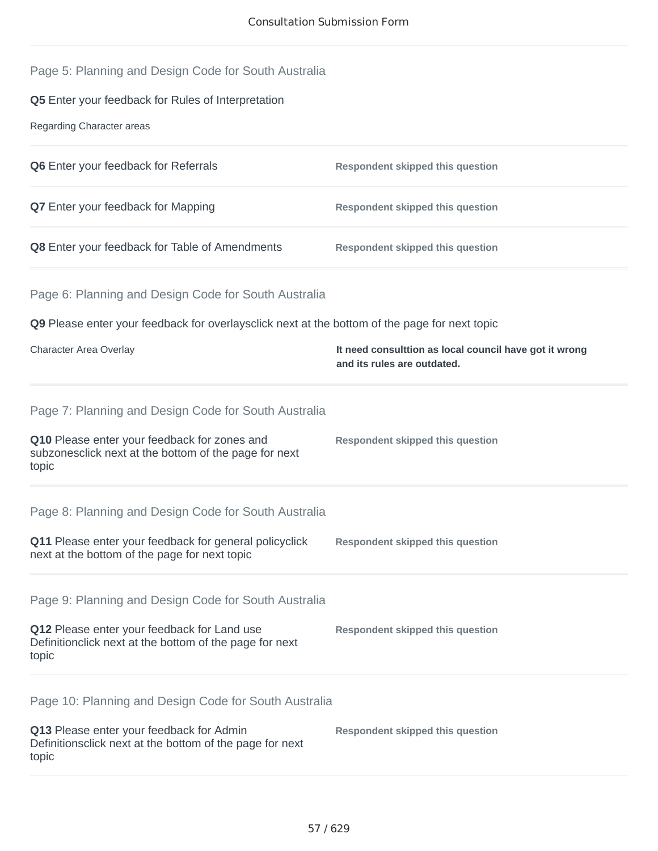|  |  | Page 5: Planning and Design Code for South Australia |  |  |  |
|--|--|------------------------------------------------------|--|--|--|
|--|--|------------------------------------------------------|--|--|--|

## **Q5** Enter your feedback for Rules of Interpretation

Regarding Character areas

| <b>Q6</b> Enter your feedback for Referrals           | Respondent skipped this question |
|-------------------------------------------------------|----------------------------------|
| <b>Q7</b> Enter your feedback for Mapping             | Respondent skipped this question |
| <b>Q8</b> Enter your feedback for Table of Amendments | Respondent skipped this question |

# Page 6: Planning and Design Code for South Australia

**Q9** Please enter your feedback for overlaysclick next at the bottom of the page for next topic

| Character Area Overlay | It need consulttion as local council have got it wrong |  |
|------------------------|--------------------------------------------------------|--|
|                        | and its rules are outdated.                            |  |

**Respondent skipped this question**

Page 7: Planning and Design Code for South Australia

**Q10** Please enter your feedback for zones and subzonesclick next at the bottom of the page for next topic

Page 8: Planning and Design Code for South Australia

**Q11** Please enter your feedback for general policyclick next at the bottom of the page for next topic **Respondent skipped this question**

Page 9: Planning and Design Code for South Australia

**Q12** Please enter your feedback for Land use Definitionclick next at the bottom of the page for next topic **Respondent skipped this question**

Page 10: Planning and Design Code for South Australia

| Q13 Please enter your feedback for Admin                 | Respondent skipped this question |
|----------------------------------------------------------|----------------------------------|
| Definitionsclick next at the bottom of the page for next |                                  |
| topic                                                    |                                  |